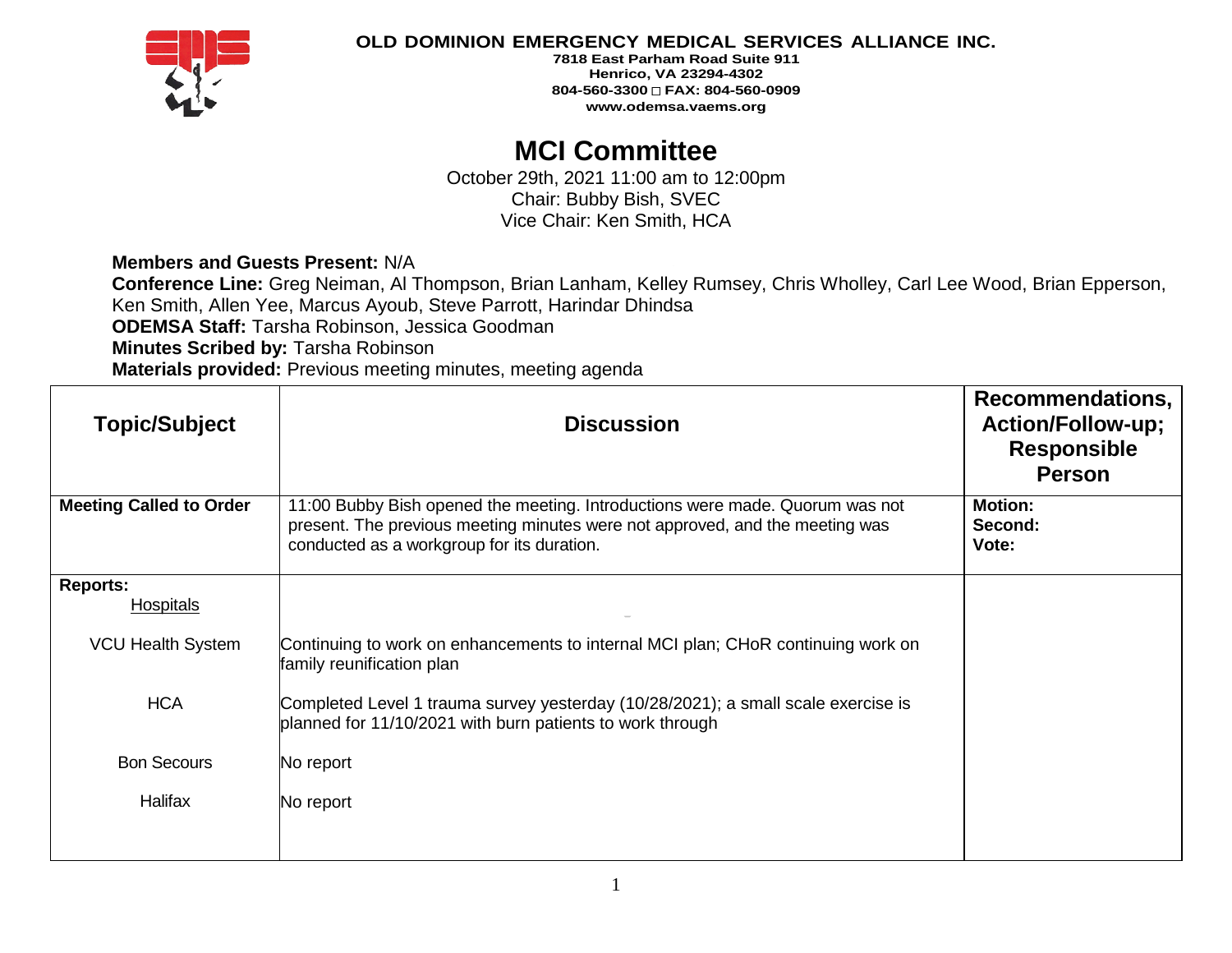

**7818 East Parham Road Suite 911 Henrico, VA 23294-4302 804-560-3300 FAX: 804-560-0909 www.odemsa.vaems.org**

# **MCI Committee**

October 29th, 2021 11:00 am to 12:00pm Chair: Bubby Bish, SVEC Vice Chair: Ken Smith, HCA

**Members and Guests Present:** N/A

**Conference Line:** Greg Neiman, Al Thompson, Brian Lanham, Kelley Rumsey, Chris Wholley, Carl Lee Wood, Brian Epperson, Ken Smith, Allen Yee, Marcus Ayoub, Steve Parrott, Harindar Dhindsa **ODEMSA Staff:** Tarsha Robinson, Jessica Goodman **Minutes Scribed by:** Tarsha Robinson **Materials provided:** Previous meeting minutes, meeting agenda

| <b>Topic/Subject</b>           | <b>Discussion</b>                                                                                                                                                                                          | Recommendations,<br><b>Action/Follow-up;</b><br><b>Responsible</b><br><b>Person</b> |
|--------------------------------|------------------------------------------------------------------------------------------------------------------------------------------------------------------------------------------------------------|-------------------------------------------------------------------------------------|
| <b>Meeting Called to Order</b> | 11:00 Bubby Bish opened the meeting. Introductions were made. Quorum was not<br>present. The previous meeting minutes were not approved, and the meeting was<br>conducted as a workgroup for its duration. | <b>Motion:</b><br>Second:<br>Vote:                                                  |
| <b>Reports:</b>                |                                                                                                                                                                                                            |                                                                                     |
| Hospitals                      |                                                                                                                                                                                                            |                                                                                     |
| <b>VCU Health System</b>       | Continuing to work on enhancements to internal MCI plan; CHoR continuing work on<br>family reunification plan                                                                                              |                                                                                     |
| <b>HCA</b>                     | Completed Level 1 trauma survey yesterday (10/28/2021); a small scale exercise is<br>planned for 11/10/2021 with burn patients to work through                                                             |                                                                                     |
| <b>Bon Secours</b>             | No report                                                                                                                                                                                                  |                                                                                     |
| Halifax                        | No report                                                                                                                                                                                                  |                                                                                     |
|                                |                                                                                                                                                                                                            |                                                                                     |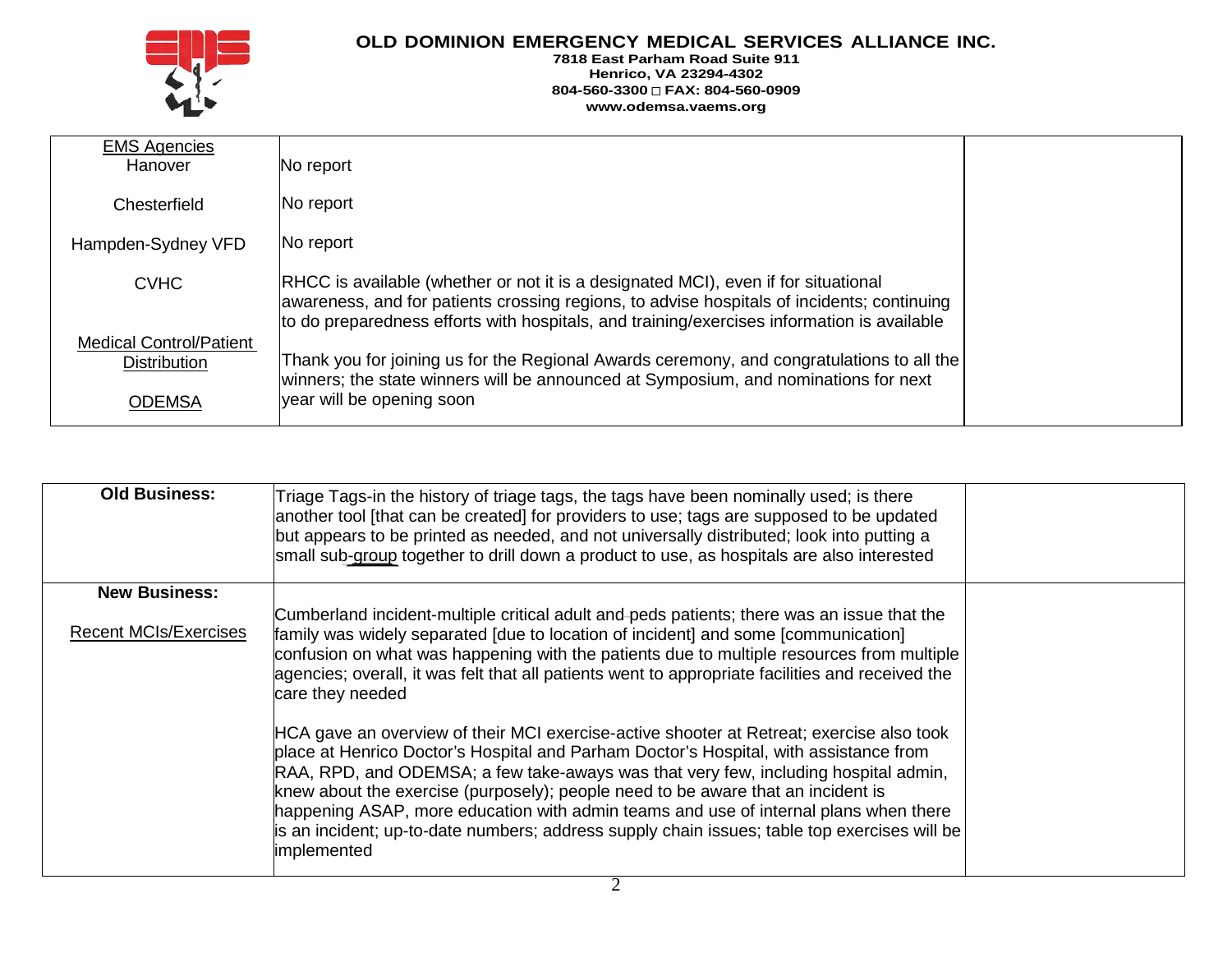

#### **7818 East Parham Road Suite 911 Henrico, VA 23294-4302 804-560-3300 FAX: 804-560-0909 www.odemsa.vaems.org**

| <b>EMS Agencies</b>            |                                                                                                                                                                                                                                                                                |  |
|--------------------------------|--------------------------------------------------------------------------------------------------------------------------------------------------------------------------------------------------------------------------------------------------------------------------------|--|
| Hanover                        | No report                                                                                                                                                                                                                                                                      |  |
| Chesterfield                   | No report                                                                                                                                                                                                                                                                      |  |
| Hampden-Sydney VFD             | No report                                                                                                                                                                                                                                                                      |  |
| <b>CVHC</b>                    | RHCC is available (whether or not it is a designated MCI), even if for situational<br>awareness, and for patients crossing regions, to advise hospitals of incidents; continuing<br>to do preparedness efforts with hospitals, and training/exercises information is available |  |
| <b>Medical Control/Patient</b> |                                                                                                                                                                                                                                                                                |  |
| <b>Distribution</b>            | Thank you for joining us for the Regional Awards ceremony, and congratulations to all the<br>winners; the state winners will be announced at Symposium, and nominations for next                                                                                               |  |
| <b>ODEMSA</b>                  | year will be opening soon                                                                                                                                                                                                                                                      |  |

| <b>Old Business:</b>         | Triage Tags-in the history of triage tags, the tags have been nominally used; is there<br>another tool [that can be created] for providers to use; tags are supposed to be updated<br>but appears to be printed as needed, and not universally distributed; look into putting a<br>small sub-group together to drill down a product to use, as hospitals are also interested                                                                                                                                                                                        |  |
|------------------------------|---------------------------------------------------------------------------------------------------------------------------------------------------------------------------------------------------------------------------------------------------------------------------------------------------------------------------------------------------------------------------------------------------------------------------------------------------------------------------------------------------------------------------------------------------------------------|--|
| <b>New Business:</b>         |                                                                                                                                                                                                                                                                                                                                                                                                                                                                                                                                                                     |  |
| <b>Recent MCIs/Exercises</b> | Cumberland incident-multiple critical adult and peds patients; there was an issue that the<br>family was widely separated [due to location of incident] and some [communication]<br>confusion on what was happening with the patients due to multiple resources from multiple<br>agencies; overall, it was felt that all patients went to appropriate facilities and received the<br>care they needed                                                                                                                                                               |  |
|                              | HCA gave an overview of their MCI exercise-active shooter at Retreat; exercise also took<br>place at Henrico Doctor's Hospital and Parham Doctor's Hospital, with assistance from<br>RAA, RPD, and ODEMSA; a few take-aways was that very few, including hospital admin,<br>knew about the exercise (purposely); people need to be aware that an incident is<br>happening ASAP, more education with admin teams and use of internal plans when there<br>is an incident; up-to-date numbers; address supply chain issues; table top exercises will be<br>implemented |  |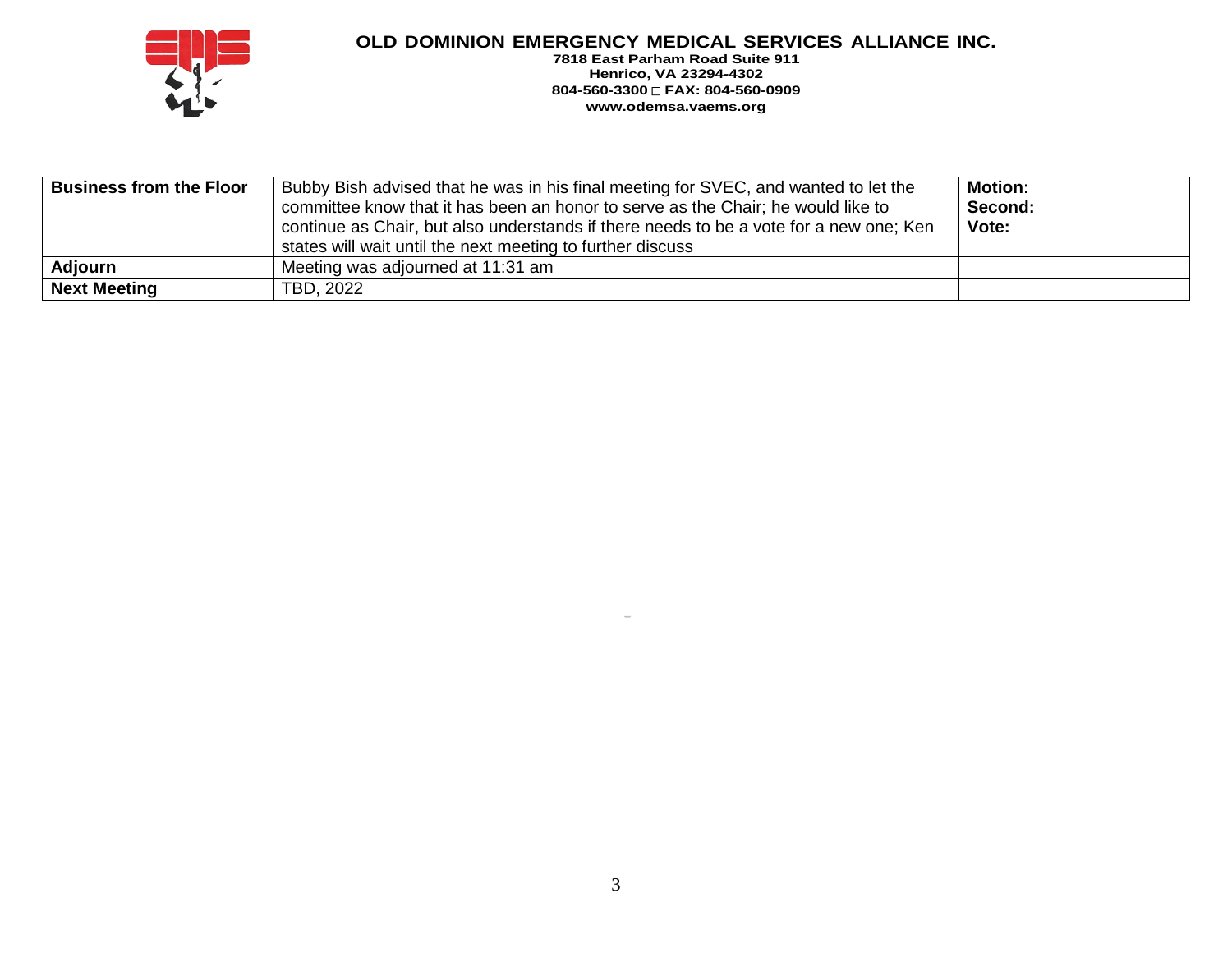

**7818 East Parham Road Suite 911 Henrico, VA 23294-4302 804-560-3300 FAX: 804-560-0909 www.odemsa.vaems.org**

| <b>Business from the Floor</b> | Bubby Bish advised that he was in his final meeting for SVEC, and wanted to let the<br>committee know that it has been an honor to serve as the Chair; he would like to<br>continue as Chair, but also understands if there needs to be a vote for a new one; Ken<br>states will wait until the next meeting to further discuss | <b>Motion:</b><br>Second:<br>Vote: |
|--------------------------------|---------------------------------------------------------------------------------------------------------------------------------------------------------------------------------------------------------------------------------------------------------------------------------------------------------------------------------|------------------------------------|
| Adjourn                        | Meeting was adjourned at 11:31 am                                                                                                                                                                                                                                                                                               |                                    |
| Next Meeting                   | TBD, 2022                                                                                                                                                                                                                                                                                                                       |                                    |